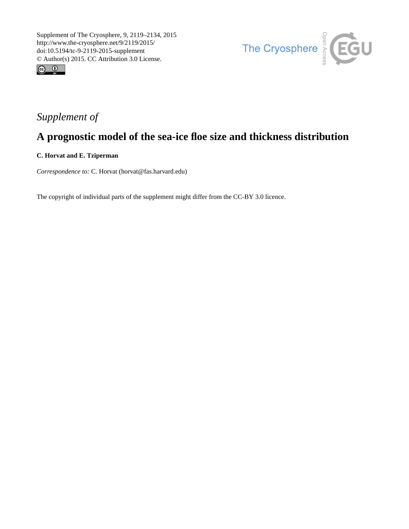



## *Supplement of*

# **A prognostic model of the sea-ice floe size and thickness distribution**

**C. Horvat and E. Tziperman**

*Correspondence to:* C. Horvat (horvat@fas.harvard.edu)

The copyright of individual parts of the supplement might differ from the CC-BY 3.0 licence.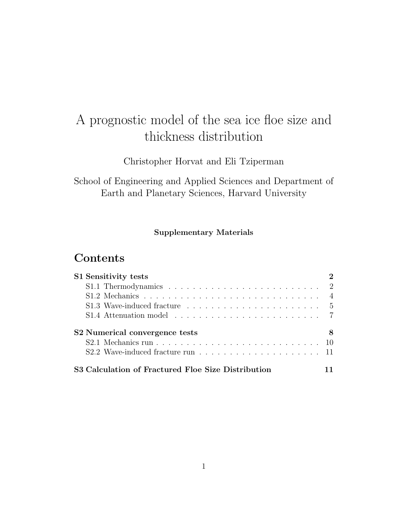# A prognostic model of the sea ice floe size and thickness distribution

Christopher Horvat and Eli Tziperman

School of Engineering and Applied Sciences and Department of Earth and Planetary Sciences, Harvard University

#### Supplementary Materials

### **Contents**

| S1 Sensitivity tests                                                          |   |
|-------------------------------------------------------------------------------|---|
|                                                                               |   |
|                                                                               |   |
| S1.3 Wave-induced fracture $\ldots \ldots \ldots \ldots \ldots \ldots \ldots$ |   |
| S1.4 Attenuation model $\ldots \ldots \ldots \ldots \ldots \ldots \ldots$     |   |
| S2 Numerical convergence tests                                                | 8 |
|                                                                               |   |
|                                                                               |   |
| S3 Calculation of Fractured Floe Size Distribution                            |   |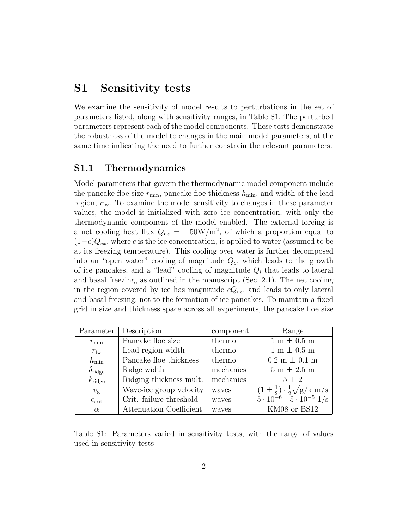### <span id="page-2-0"></span>S1 Sensitivity tests

We examine the sensitivity of model results to perturbations in the set of parameters listed, along with sensitivity ranges, in Table [S1,](#page-2-2) The perturbed parameters represent each of the model components. These tests demonstrate the robustness of the model to changes in the main model parameters, at the same time indicating the need to further constrain the relevant parameters.

#### <span id="page-2-1"></span>S1.1 Thermodynamics

Model parameters that govern the thermodynamic model component include the pancake floe size  $r_{\min}$ , pancake floe thickness  $h_{\min}$ , and width of the lead region,  $r_{\rm lw}$ . To examine the model sensitivity to changes in these parameter values, the model is initialized with zero ice concentration, with only the thermodynamic component of the model enabled. The external forcing is a net cooling heat flux  $Q_{ex} = -50W/m^2$ , of which a proportion equal to  $(1-c)Q_{ex}$ , where c is the ice concentration, is applied to water (assumed to be at its freezing temperature). This cooling over water is further decomposed into an "open water" cooling of magnitude  $Q<sub>o</sub>$ , which leads to the growth of ice pancakes, and a "lead" cooling of magnitude  $Q_l$  that leads to lateral and basal freezing, as outlined in the manuscript (Sec. 2.1). The net cooling in the region covered by ice has magnitude  $cQ_{ex}$ , and leads to only lateral and basal freezing, not to the formation of ice pancakes. To maintain a fixed grid in size and thickness space across all experiments, the pancake floe size

| Parameter             | Description             | component | Range                                                          |
|-----------------------|-------------------------|-----------|----------------------------------------------------------------|
| $r_{\rm min}$         | Pancake floe size       | thermo    | $1 m \pm 0.5 m$                                                |
| $r_{\text{lw}}$       | Lead region width       | thermo    | $1~\mathrm{m} \pm 0.5~\mathrm{m}$                              |
| $h_{\min}$            | Pancake floe thickness  | thermo    | $0.2 \text{ m} \pm 0.1 \text{ m}$                              |
| $\delta_{\rm ridge}$  | Ridge width             | mechanics | $5m \pm 2.5m$                                                  |
| $k_{\rm ridge}$       | Ridging thickness mult. | mechanics | $5\pm 2$                                                       |
| $v_{\rm g}$           | Wave-ice group velocity | waves     | $(1 \pm \frac{1}{2}) \cdot \frac{1}{2} \sqrt{\frac{g}{k}}$ m/s |
| $\epsilon_{\rm crit}$ | Crit. failure threshold | waves     | $5 \cdot 10^{-6} - 5 \cdot 10^{-5}$ 1/s                        |
| $\alpha$              | Attenuation Coefficient | waves     | KM08 or BS12                                                   |

<span id="page-2-2"></span>Table S1: Parameters varied in sensitivity tests, with the range of values used in sensitivity tests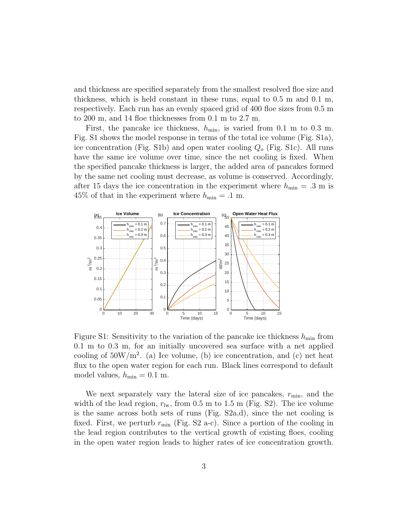and thickness are specified separately from the smallest resolved floe size and thickness, which is held constant in these runs, equal to 0.5 m and 0.1 m, respectively. Each run has an evenly spaced grid of 400 floe sizes from 0.5 m to 200 m, and 14 floe thicknesses from 0.1 m to 2.7 m.

First, the pancake ice thickness,  $h_{\min}$ , is varied from 0.1 m to 0.3 m. Fig. [S1](#page-3-0) shows the model response in terms of the total ice volume (Fig. [S1a](#page-3-0)), ice concentration (Fig. [S1b](#page-3-0)) and open water cooling  $Q<sub>o</sub>$  (Fig. [S1c](#page-3-0)). All runs have the same ice volume over time, since the net cooling is fixed. When the specified pancake thickness is larger, the added area of pancakes formed by the same net cooling must decrease, as volume is conserved. Accordingly, after 15 days the ice concentration in the experiment where  $h_{\min} = .3$  m is 45% of that in the experiment where  $h_{\min} = .1$  m.



<span id="page-3-0"></span>Figure S1: Sensitivity to the variation of the pancake ice thickness  $h_{\min}$  from 0.1 m to 0.3 m, for an initially uncovered sea surface with a net applied cooling of  $50W/m^2$ . (a) Ice volume, (b) ice concentration, and (c) net heat flux to the open water region for each run. Black lines correspond to default model values,  $h_{\min} = 0.1$  m.

We next separately vary the lateral size of ice pancakes,  $r_{\text{min}}$ , and the width of the lead region,  $r_{\text{lw}}$ , from 0.5 m to 1.5 m (Fig. [S2\)](#page-4-1). The ice volume is the same across both sets of runs (Fig. [S2a](#page-4-1),d), since the net cooling is fixed. First, we perturb  $r_{\text{min}}$  (Fig. [S2](#page-4-1) a-c). Since a portion of the cooling in the lead region contributes to the vertical growth of existing floes, cooling in the open water region leads to higher rates of ice concentration growth.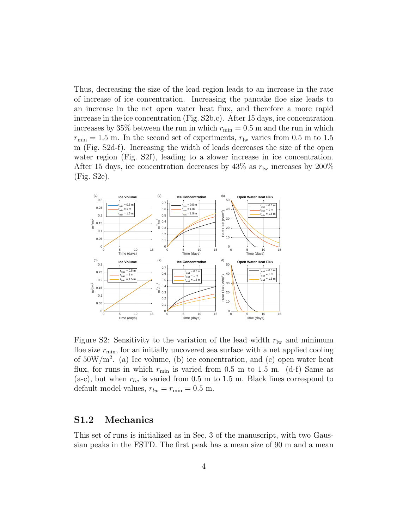Thus, decreasing the size of the lead region leads to an increase in the rate of increase of ice concentration. Increasing the pancake floe size leads to an increase in the net open water heat flux, and therefore a more rapid increase in the ice concentration (Fig. [S2b](#page-4-1),c). After 15 days, ice concentration increases by 35% between the run in which  $r_{\min} = 0.5$  m and the run in which  $r_{\min} = 1.5$  m. In the second set of experiments,  $r_{\text{lw}}$  varies from 0.5 m to 1.5 m (Fig. [S2d](#page-4-1)-f). Increasing the width of leads decreases the size of the open water region (Fig. [S2f](#page-4-1)), leading to a slower increase in ice concentration. After 15 days, ice concentration decreases by 43% as  $r_{\rm lw}$  increases by 200% (Fig. [S2e](#page-4-1)).



<span id="page-4-1"></span>Figure S2: Sensitivity to the variation of the lead width  $r_{\text{lw}}$  and minimum floe size  $r_{\min}$ , for an initially uncovered sea surface with a net applied cooling of  $50W/m^2$ . (a) Ice volume, (b) ice concentration, and (c) open water heat flux, for runs in which  $r_{\text{min}}$  is varied from 0.5 m to 1.5 m. (d-f) Same as (a-c), but when  $r_{lw}$  is varied from 0.5 m to 1.5 m. Black lines correspond to default model values,  $r_{lw} = r_{min} = 0.5$  m.

#### <span id="page-4-0"></span>S1.2 Mechanics

This set of runs is initialized as in Sec. 3 of the manuscript, with two Gaussian peaks in the FSTD. The first peak has a mean size of 90 m and a mean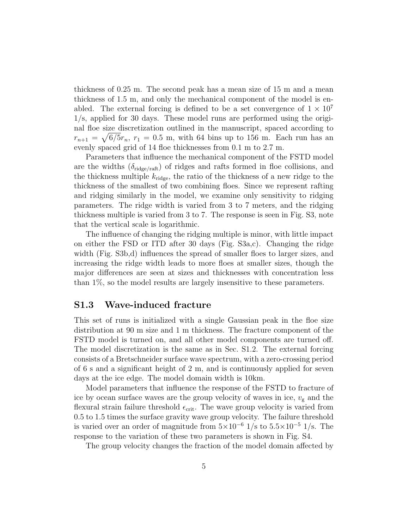thickness of 0.25 m. The second peak has a mean size of 15 m and a mean thickness of 1.5 m, and only the mechanical component of the model is enabled. The external forcing is defined to be a set convergence of  $1 \times 10^7$ 1/s, applied for 30 days. These model runs are performed using the original floe size discretization outlined in the manuscript, spaced according to  $r_{n+1} = \sqrt{6/5}r_n$ ,  $r_1 = 0.5$  m, with 64 bins up to 156 m. Each run has an evenly spaced grid of 14 floe thicknesses from 0.1 m to 2.7 m.

Parameters that influence the mechanical component of the FSTD model are the widths  $(\delta_{\text{ridge/rath}})$  of ridges and rafts formed in floe collisions, and the thickness multiple  $k_{\text{ridge}}$ , the ratio of the thickness of a new ridge to the thickness of the smallest of two combining floes. Since we represent rafting and ridging similarly in the model, we examine only sensitivity to ridging parameters. The ridge width is varied from 3 to 7 meters, and the ridging thickness multiple is varied from 3 to 7. The response is seen in Fig. [S3,](#page-6-0) note that the vertical scale is logarithmic.

The influence of changing the ridging multiple is minor, with little impact on either the FSD or ITD after 30 days (Fig. [S3a](#page-6-0),c). Changing the ridge width (Fig. [S3b](#page-6-0),d) influences the spread of smaller floes to larger sizes, and increasing the ridge width leads to more floes at smaller sizes, though the major differences are seen at sizes and thicknesses with concentration less than 1%, so the model results are largely insensitive to these parameters.

#### <span id="page-5-0"></span>S1.3 Wave-induced fracture

This set of runs is initialized with a single Gaussian peak in the floe size distribution at 90 m size and 1 m thickness. The fracture component of the FSTD model is turned on, and all other model components are turned off. The model discretization is the same as in Sec. [S1.2.](#page-4-0) The external forcing consists of a Bretschneider surface wave spectrum, with a zero-crossing period of 6 s and a significant height of 2 m, and is continuously applied for seven days at the ice edge. The model domain width is 10km.

Model parameters that influence the response of the FSTD to fracture of ice by ocean surface waves are the group velocity of waves in ice,  $v_{\rm g}$  and the flexural strain failure threshold  $\epsilon_{\rm crit}$ . The wave group velocity is varied from 0.5 to 1.5 times the surface gravity wave group velocity. The failure threshold is varied over an order of magnitude from  $5\times10^{-6}$  1/s to  $5.5\times10^{-5}$  1/s. The response to the variation of these two parameters is shown in Fig. [S4.](#page-7-1)

The group velocity changes the fraction of the model domain affected by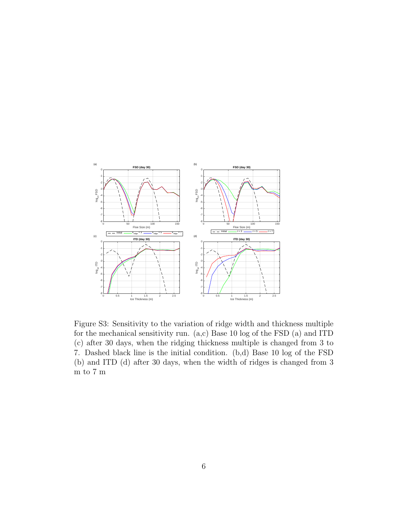

<span id="page-6-0"></span>Figure S3: Sensitivity to the variation of ridge width and thickness multiple for the mechanical sensitivity run. (a,c) Base 10 log of the FSD (a) and ITD (c) after 30 days, when the ridging thickness multiple is changed from 3 to 7. Dashed black line is the initial condition. (b,d) Base 10 log of the FSD (b) and ITD (d) after 30 days, when the width of ridges is changed from 3 m to 7 m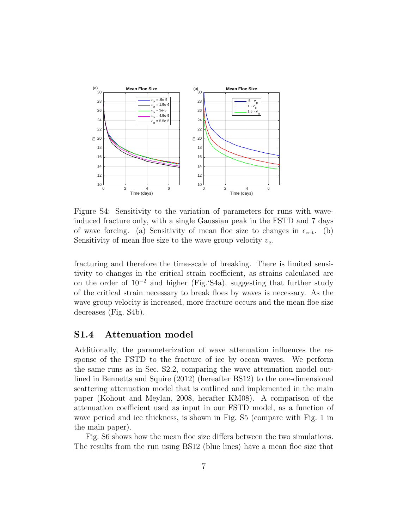

<span id="page-7-1"></span>Figure S4: Sensitivity to the variation of parameters for runs with waveinduced fracture only, with a single Gaussian peak in the FSTD and 7 days of wave forcing. (a) Sensitivity of mean floe size to changes in  $\epsilon_{\rm crit}$ . (b) Sensitivity of mean floe size to the wave group velocity  $v_{\rm g}$ .

fracturing and therefore the time-scale of breaking. There is limited sensitivity to changes in the critical strain coefficient, as strains calculated are on the order of 10<sup>−</sup><sup>2</sup> and higher (Fig.['S4a](#page-7-1)), suggesting that further study of the critical strain necessary to break floes by waves is necessary. As the wave group velocity is increased, more fracture occurs and the mean floe size decreases (Fig. [S4b](#page-7-1)).

#### <span id="page-7-0"></span>S1.4 Attenuation model

Additionally, the parameterization of wave attenuation influences the response of the FSTD to the fracture of ice by ocean waves. We perform the same runs as in Sec. [S2.2,](#page-11-0) comparing the wave attenuation model outlined in [Bennetts and Squire](#page-16-0) [\(2012\)](#page-16-0) (hereafter BS12) to the one-dimensional scattering attenuation model that is outlined and implemented in the main paper [\(Kohout and Meylan,](#page-16-1) [2008,](#page-16-1) herafter KM08). A comparison of the attenuation coefficient used as input in our FSTD model, as a function of wave period and ice thickness, is shown in Fig. [S5](#page-8-1) (compare with Fig. 1 in the main paper).

Fig. [S6](#page-9-0) shows how the mean floe size differs between the two simulations. The results from the run using BS12 (blue lines) have a mean floe size that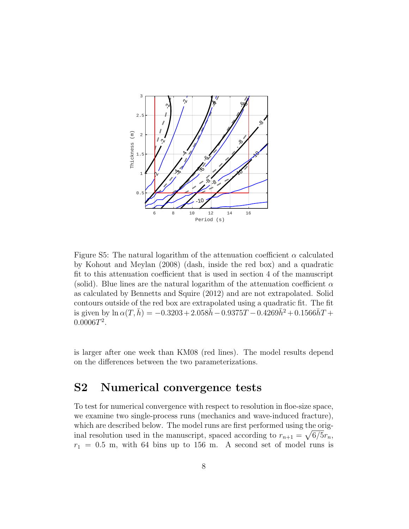

<span id="page-8-1"></span>Figure S5: The natural logarithm of the attenuation coefficient  $\alpha$  calculated by [Kohout and Meylan](#page-16-1) [\(2008\)](#page-16-1) (dash, inside the red box) and a quadratic fit to this attenuation coefficient that is used in section 4 of the manuscript (solid). Blue lines are the natural logarithm of the attenuation coefficient  $\alpha$ as calculated by [Bennetts and Squire](#page-16-0) [\(2012\)](#page-16-0) and are not extrapolated. Solid contours outside of the red box are extrapolated using a quadratic fit. The fit is given by  $\ln \alpha(T, \bar{h}) = -0.3203 + 2.058\bar{h} - 0.9375T - 0.4269\bar{h}^2 + 0.1566\bar{h}T +$  $0.0006T^2$ .

is larger after one week than KM08 (red lines). The model results depend on the differences between the two parameterizations.

### <span id="page-8-0"></span>S2 Numerical convergence tests

To test for numerical convergence with respect to resolution in floe-size space, we examine two single-process runs (mechanics and wave-induced fracture), which are described below. The model runs are first performed using the original resolution used in the manuscript, spaced according to  $r_{n+1} = \sqrt{6/5}r_n$ ,  $r_1 = 0.5$  m, with 64 bins up to 156 m. A second set of model runs is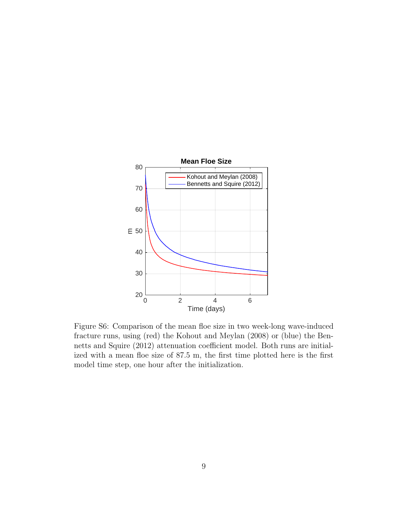

<span id="page-9-0"></span>Figure S6: Comparison of the mean floe size in two week-long wave-induced fracture runs, using (red) the Kohout and Meylan (2008) or (blue) the Bennetts and Squire (2012) attenuation coefficient model. Both runs are initialized with a mean floe size of 87.5 m, the first time plotted here is the first model time step, one hour after the initialization.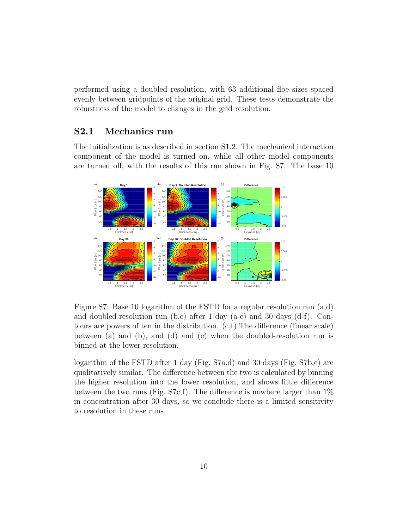performed using a doubled resolution, with 63 additional floe sizes spaced evenly between gridpoints of the original grid. These tests demonstrate the robustness of the model to changes in the grid resolution.

#### <span id="page-10-0"></span>S2.1 Mechanics run

The initialization is as described in section [S1.2.](#page-4-0) The mechanical interaction component of the model is turned on, while all other model components are turned off, with the results of this run shown in Fig. [S7.](#page-10-1) The base 10



<span id="page-10-1"></span>Figure S7: Base 10 logarithm of the FSTD for a regular resolution run (a,d) and doubled-resolution run  $(b,e)$  after 1 day  $(a-c)$  and 30 days  $(d-f)$ . Contours are powers of ten in the distribution. (c,f) The difference (linear scale) between (a) and (b), and (d) and (e) when the doubled-resolution run is binned at the lower resolution.

logarithm of the FSTD after 1 day (Fig. [S7a](#page-10-1),d) and 30 days (Fig. [S7b](#page-10-1),e) are qualitatively similar. The difference between the two is calculated by binning the higher resolution into the lower resolution, and shows little difference between the two runs (Fig. [S7c](#page-10-1),f). The difference is nowhere larger than  $1\%$ in concentration after 30 days, so we conclude there is a limited sensitivity to resolution in these runs.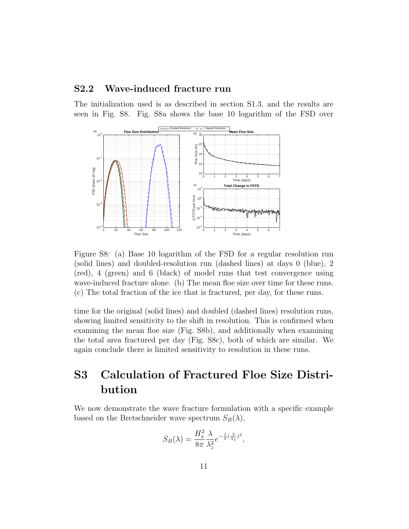#### <span id="page-11-0"></span>S2.2 Wave-induced fracture run

The initialization used is as described in section [S1.3,](#page-5-0) and the results are seen in Fig. [S8.](#page-11-2) Fig. [S8a](#page-11-2) shows the base 10 logarithm of the FSD over



<span id="page-11-2"></span>Figure S8: (a) Base 10 logarithm of the FSD for a regular resolution run (solid lines) and doubled-resolution run (dashed lines) at days 0 (blue), 2 (red), 4 (green) and 6 (black) of model runs that test convergence using wave-induced fracture alone. (b) The mean floe size over time for these runs. (c) The total fraction of the ice that is fractured, per day, for these runs.

time for the original (solid lines) and doubled (dashed lines) resolution runs, showing limited sensitivity to the shift in resolution. This is confirmed when examining the mean floe size (Fig. [S8b](#page-11-2)), and additionally when examining the total area fractured per day (Fig. [S8c](#page-11-2)), both of which are similar. We again conclude there is limited sensitivity to resolution in these runs.

# <span id="page-11-1"></span>S3 Calculation of Fractured Floe Size Distribution

We now demonstrate the wave fracture formulation with a specific example based on the Bretschneider wave spectrum  $S_B(\lambda)$ ,

$$
S_B(\lambda) = \frac{H_s^2}{8\pi} \frac{\lambda}{\lambda_z^2} e^{-\frac{1}{\pi}(\frac{\lambda}{\lambda_z})^2},
$$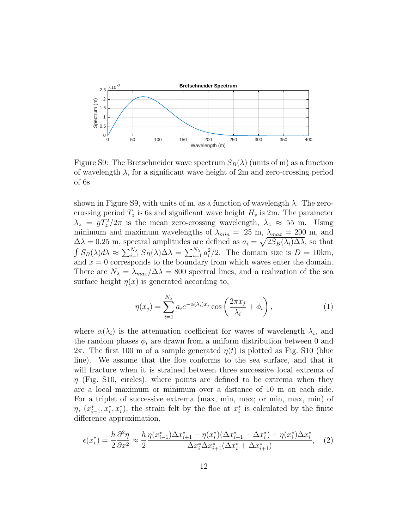

<span id="page-12-0"></span>Figure S9: The Bretschneider wave spectrum  $S_B(\lambda)$  (units of m) as a function of wavelength  $\lambda$ , for a significant wave height of 2m and zero-crossing period of 6s.

shown in Figure [S9,](#page-12-0) with units of m, as a function of wavelength  $\lambda$ . The zerocrossing period  $T_z$  is 6s and significant wave height  $H_s$  is 2m. The parameter  $\lambda_z = gT_z^2/2\pi$  is the mean zero-crossing wavelength,  $\lambda_z \approx 55$  m. Using minimum and maximum wavelengths of  $\lambda_{min} = .25$  m,  $\lambda_{max} = 200$  m, and  $\Delta\lambda = 0.25$  m, spectral amplitudes are defined as  $a_i = \sqrt{2S_B(\lambda_i)\Delta\lambda}$ , so that  $\int S_B(\lambda) d\lambda \approx \sum_{i=1}^{N_{\lambda}} S_B(\lambda) \Delta \lambda = \sum_{i=1}^{N_{\lambda}} a_i^2/2$ . The domain size is  $D = 10 \text{km}$ , and  $x = 0$  corresponds to the boundary from which waves enter the domain. There are  $N_{\lambda} = \lambda_{max}/\Delta\lambda = 800$  spectral lines, and a realization of the sea surface height  $\eta(x)$  is generated according to,

$$
\eta(x_j) = \sum_{i=1}^{N_\lambda} a_i e^{-\alpha(\lambda_i)x_j} \cos\left(\frac{2\pi x_j}{\lambda_i} + \phi_i\right),\tag{1}
$$

where  $\alpha(\lambda_i)$  is the attenuation coefficient for waves of wavelength  $\lambda_i$ , and the random phases  $\phi_i$  are drawn from a uniform distribution between 0 and  $2\pi$ . The first 100 m of a sample generated  $\eta(t)$  is plotted as Fig. [S10](#page-13-0) (blue line). We assume that the floe conforms to the sea surface, and that it will fracture when it is strained between three successive local extrema of  $\eta$  (Fig. [S10,](#page-13-0) circles), where points are defined to be extrema when they are a local maximum or minimum over a distance of 10 m on each side. For a triplet of successive extrema (max, min, max; or min, max, min) of  $\eta, (x_{i-1}^*, x_i^*, x_i^*)$ , the strain felt by the floe at  $x_i^*$  is calculated by the finite difference approximation,

$$
\epsilon(x_i^*) = \frac{h}{2} \frac{\partial^2 \eta}{\partial x^2} \approx \frac{h}{2} \frac{\eta(x_{i-1}^*) \Delta x_{i+1}^* - \eta(x_i^*) (\Delta x_{i+1}^* + \Delta x_i^*) + \eta(x_i^*) \Delta x_i^*}{\Delta x_i^* \Delta x_{i+1}^* (\Delta x_i^* + \Delta x_{i+1}^*)}, \quad (2)
$$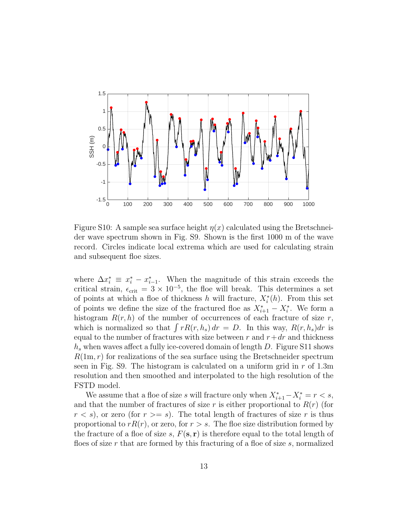

<span id="page-13-0"></span>Figure S10: A sample sea surface height  $\eta(x)$  calculated using the Bretschneider wave spectrum shown in Fig. [S9.](#page-12-0) Shown is the first 1000 m of the wave record. Circles indicate local extrema which are used for calculating strain and subsequent floe sizes.

where  $\Delta x_i^* \equiv x_i^* - x_{i-1}^*$ . When the magnitude of this strain exceeds the critical strain,  $\epsilon_{\rm crit} = 3 \times 10^{-5}$ , the floe will break. This determines a set of points at which a floe of thickness h will fracture,  $X_i^*(h)$ . From this set of points we define the size of the fractured floe as  $X_{i+1}^* - X_i^*$ . We form a histogram  $R(r, h)$  of the number of occurrences of each fracture of size r, which is normalized so that  $\int rR(r, h_s) dr = D$ . In this way,  $R(r, h_s) dr$  is equal to the number of fractures with size between r and  $r+dr$  and thickness  $h_s$  when waves affect a fully ice-covered domain of length D. Figure [S11](#page-14-0) shows  $R(1m, r)$  for realizations of the sea surface using the Bretschneider spectrum seen in Fig. [S9.](#page-12-0) The histogram is calculated on a uniform grid in  $r$  of 1.3m resolution and then smoothed and interpolated to the high resolution of the FSTD model.

We assume that a floe of size s will fracture only when  $X_{i+1}^* - X_i^* = r < s$ , and that the number of fractures of size r is either proportional to  $R(r)$  (for  $r < s$ , or zero (for  $r > = s$ ). The total length of fractures of size r is thus proportional to  $rR(r)$ , or zero, for  $r > s$ . The floe size distribution formed by the fracture of a floe of size s,  $F(\mathbf{s}, \mathbf{r})$  is therefore equal to the total length of floes of size r that are formed by this fracturing of a floe of size  $s$ , normalized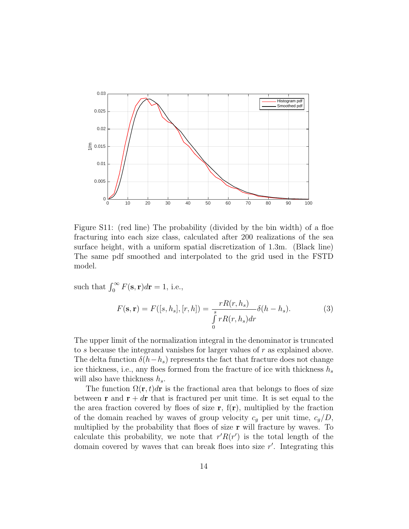

<span id="page-14-0"></span>Figure S11: (red line) The probability (divided by the bin width) of a floe fracturing into each size class, calculated after 200 realizations of the sea surface height, with a uniform spatial discretization of 1.3m. (Black line) The same pdf smoothed and interpolated to the grid used in the FSTD model.

such that  $\int_0^\infty F(\mathbf{s}, \mathbf{r}) d\mathbf{r} = 1$ , i.e.,

$$
F(\mathbf{s}, \mathbf{r}) = F([s, h_s], [r, h]) = \frac{rR(r, h_s)}{\int\limits_0^s rR(r, h_s)dr} \delta(h - h_s).
$$
 (3)

The upper limit of the normalization integral in the denominator is truncated to s because the integrand vanishes for larger values of r as explained above. The delta function  $\delta(h-h_s)$  represents the fact that fracture does not change ice thickness, i.e., any floes formed from the fracture of ice with thickness  $h_s$ will also have thickness  $h_s$ .

The function  $\Omega(\mathbf{r},t)d\mathbf{r}$  is the fractional area that belongs to floes of size between **r** and  $\mathbf{r} + d\mathbf{r}$  that is fractured per unit time. It is set equal to the the area fraction covered by floes of size  $\mathbf{r}$ ,  $f(\mathbf{r})$ , multiplied by the fraction of the domain reached by waves of group velocity  $c_g$  per unit time,  $c_g/D$ , multiplied by the probability that floes of size r will fracture by waves. To calculate this probability, we note that  $r' R(r')$  is the total length of the domain covered by waves that can break floes into size  $r'$ . Integrating this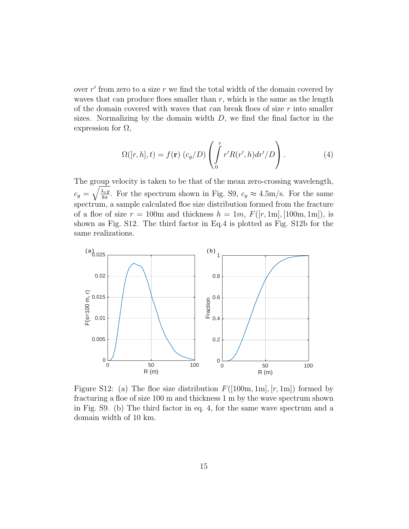over  $r'$  from zero to a size  $r$  we find the total width of the domain covered by waves that can produce floes smaller than  $r$ , which is the same as the length of the domain covered with waves that can break floes of size  $r$  into smaller sizes. Normalizing by the domain width  $D$ , we find the final factor in the expression for  $\Omega$ ,

<span id="page-15-1"></span>
$$
\Omega([r,h],t) = f(\mathbf{r}) \left( c_g/D \right) \left( \int_0^r r'R(r',h) dr'/D \right). \tag{4}
$$

The group velocity is taken to be that of the mean zero-crossing wavelength,  $c_g = \sqrt{\frac{\lambda_z g}{8\pi}}$  $\frac{\lambda_{z}g}{8\pi}$ . For the spectrum shown in Fig. [S9,](#page-12-0)  $c_g \approx 4.5 \text{m/s}$ . For the same spectrum, a sample calculated floe size distribution formed from the fracture of a floe of size  $r = 100$ m and thickness  $h = 1m$ ,  $F([r, 1m], [100m, 1m])$ , is shown as Fig. [S12.](#page-15-0) The third factor in Eq[.4](#page-15-1) is plotted as Fig. [S12b](#page-15-0) for the same realizations.



<span id="page-15-0"></span>Figure S12: (a) The floe size distribution  $F([100m, 1m], [r, 1m])$  formed by fracturing a floe of size 100 m and thickness 1 m by the wave spectrum shown in Fig. [S9.](#page-12-0) (b) The third factor in eq. [4,](#page-15-1) for the same wave spectrum and a domain width of 10 km.